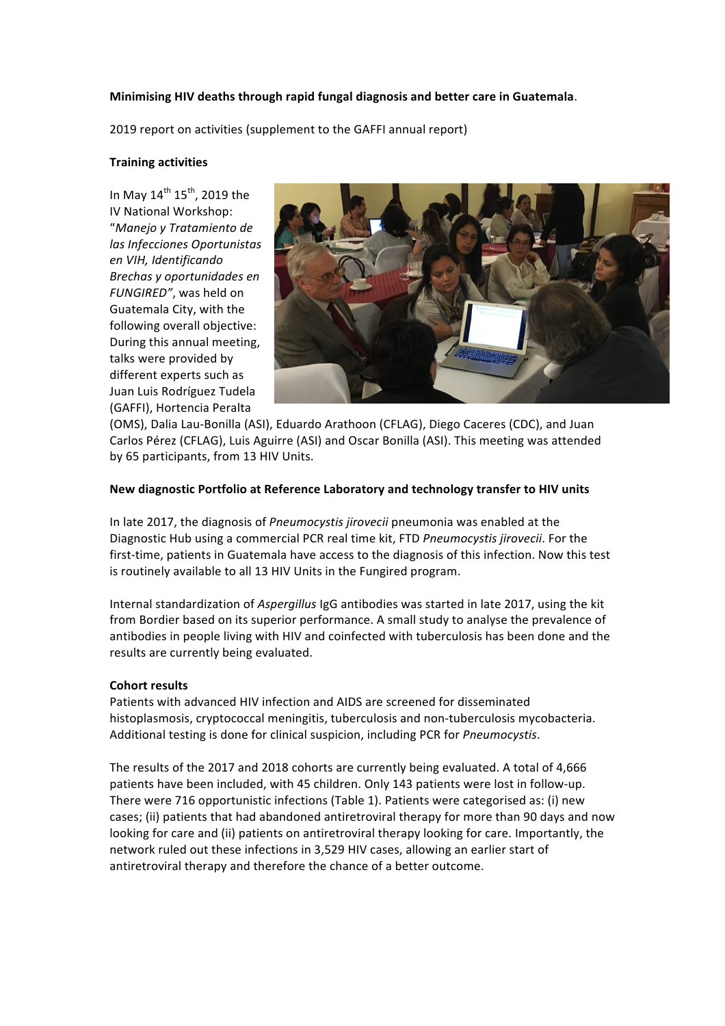# **Minimising HIV deaths through rapid fungal diagnosis and better care in Guatemala.**

2019 report on activities (supplement to the GAFFI annual report)

## **Training activities**

In May  $14^{\text{th}}$   $15^{\text{th}}$ , 2019 the IV National Workshop: "*Manejo y Tratamiento de*  las *Infecciones* Oportunistas *en VIH, Identificando Brechas y oportunidades en*  FUNGIRED", was held on Guatemala City, with the following overall objective: During this annual meeting, talks were provided by different experts such as Juan Luis Rodríguez Tudela (GAFFI), Hortencia Peralta



(OMS), Dalia Lau-Bonilla (ASI), Eduardo Arathoon (CFLAG), Diego Caceres (CDC), and Juan Carlos Pérez (CFLAG), Luis Aguirre (ASI) and Oscar Bonilla (ASI). This meeting was attended by 65 participants, from 13 HIV Units.

### New diagnostic Portfolio at Reference Laboratory and technology transfer to HIV units

In late 2017, the diagnosis of *Pneumocystis jirovecii* pneumonia was enabled at the Diagnostic Hub using a commercial PCR real time kit, FTD *Pneumocystis jirovecii*. For the first-time, patients in Guatemala have access to the diagnosis of this infection. Now this test is routinely available to all 13 HIV Units in the Fungired program.

Internal standardization of Aspergillus IgG antibodies was started in late 2017, using the kit from Bordier based on its superior performance. A small study to analyse the prevalence of antibodies in people living with HIV and coinfected with tuberculosis has been done and the results are currently being evaluated.

#### **Cohort results**

Patients with advanced HIV infection and AIDS are screened for disseminated histoplasmosis, cryptococcal meningitis, tuberculosis and non-tuberculosis mycobacteria. Additional testing is done for clinical suspicion, including PCR for *Pneumocystis*.

The results of the 2017 and 2018 cohorts are currently being evaluated. A total of 4,666 patients have been included, with 45 children. Only 143 patients were lost in follow-up. There were 716 opportunistic infections (Table 1). Patients were categorised as: (i) new cases; (ii) patients that had abandoned antiretroviral therapy for more than 90 days and now looking for care and (ii) patients on antiretroviral therapy looking for care. Importantly, the network ruled out these infections in 3,529 HIV cases, allowing an earlier start of antiretroviral therapy and therefore the chance of a better outcome.